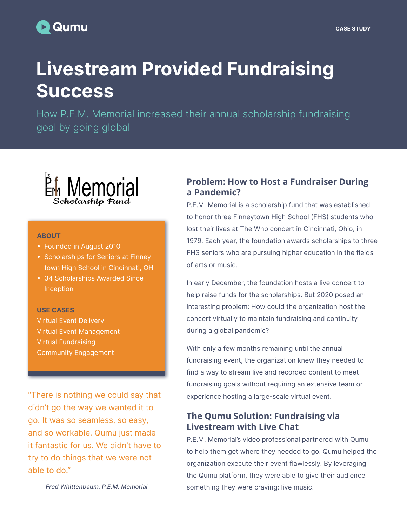# **D** Qumu

# Livestream Provided Fundraising **Success**

How P.E.M. Memorial increased their annual scholarship fundraising goal by going global



#### **ABOUT**

- Founded in August 2010
- Scholarships for Seniors at Finneytown High School in Cincinnati, OH
- 34 Scholarships Awarded Since Inception

#### USE CASES

Virtual Event Delivery Virtual Event Management Virtual Fundraising Community Engagement

"There is nothing we could say that didn't go the way we wanted it to go. It was so seamless, so easy, and so workable. Qumu just made it fantastic for us. We didn't have to try to do things that we were not able to do."

Fred Whittenbaum, P.E.M. Memorial

# **Problem: How to Host a Fundraiser During a Pandemic?**

P.E.M. Memorial is a scholarship fund that was established to honor three Finneytown High School (FHS) students who lost their lives at The Who concert in Cincinnati, Ohio, in 1979. Each year, the foundation awards scholarships to three FHS seniors who are pursuing higher education in the fields of arts or music.

In early December, the foundation hosts a live concert to help raise funds for the scholarships. But 2020 posed an interesting problem: How could the organization host the concert virtually to maintain fundraising and continuity during a global pandemic?

With only a few months remaining until the annual fundraising event, the organization knew they needed to find a way to stream live and recorded content to meet fundraising goals without requiring an extensive team or experience hosting a large-scale virtual event.

# **The Qumu Solution: Fundraising via Livestream with Live Chat**

P.E.M. Memorial's video professional partnered with Qumu to help them get where they needed to go. Qumu helped the organization execute their event flawlessly. By leveraging the Qumu platform, they were able to give their audience something they were craving: live music.